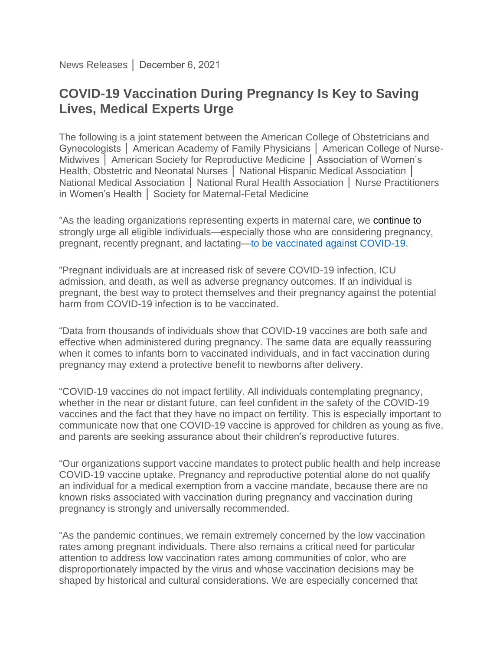News Releases │ December 6, 2021

## **COVID-19 Vaccination During Pregnancy Is Key to Saving Lives, Medical Experts Urge**

The following is a joint statement between the American College of Obstetricians and Gynecologists │ American Academy of Family Physicians │ American College of Nurse-Midwives │ American Society for Reproductive Medicine │ Association of Women's Health, Obstetric and Neonatal Nurses | National Hispanic Medical Association | National Medical Association │ National Rural Health Association │ Nurse Practitioners in Women's Health │ Society for Maternal-Fetal Medicine

"As the leading organizations representing experts in maternal care, we continue to strongly urge all eligible individuals—especially those who are considering pregnancy, pregnant, recently pregnant, and lactating[—to be vaccinated against COVID-19.](https://www.acog.org/news/news-releases/2021/08/statement-of-strong-medical-consensus-for-vaccination-of-pregnant-individuals-against-covid-19)

"Pregnant individuals are at increased risk of severe COVID-19 infection, ICU admission, and death, as well as adverse pregnancy outcomes. If an individual is pregnant, the best way to protect themselves and their pregnancy against the potential harm from COVID-19 infection is to be vaccinated.

"Data from thousands of individuals show that COVID-19 vaccines are both safe and effective when administered during pregnancy. The same data are equally reassuring when it comes to infants born to vaccinated individuals, and in fact vaccination during pregnancy may extend a protective benefit to newborns after delivery.

"COVID-19 vaccines do not impact fertility. All individuals contemplating pregnancy, whether in the near or distant future, can feel confident in the safety of the COVID-19 vaccines and the fact that they have no impact on fertility. This is especially important to communicate now that one COVID-19 vaccine is approved for children as young as five, and parents are seeking assurance about their children's reproductive futures.

"Our organizations support vaccine mandates to protect public health and help increase COVID-19 vaccine uptake. Pregnancy and reproductive potential alone do not qualify an individual for a medical exemption from a vaccine mandate, because there are no known risks associated with vaccination during pregnancy and vaccination during pregnancy is strongly and universally recommended.

"As the pandemic continues, we remain extremely concerned by the low vaccination rates among pregnant individuals. There also remains a critical need for particular attention to address low vaccination rates among communities of color, who are disproportionately impacted by the virus and whose vaccination decisions may be shaped by historical and cultural considerations. We are especially concerned that